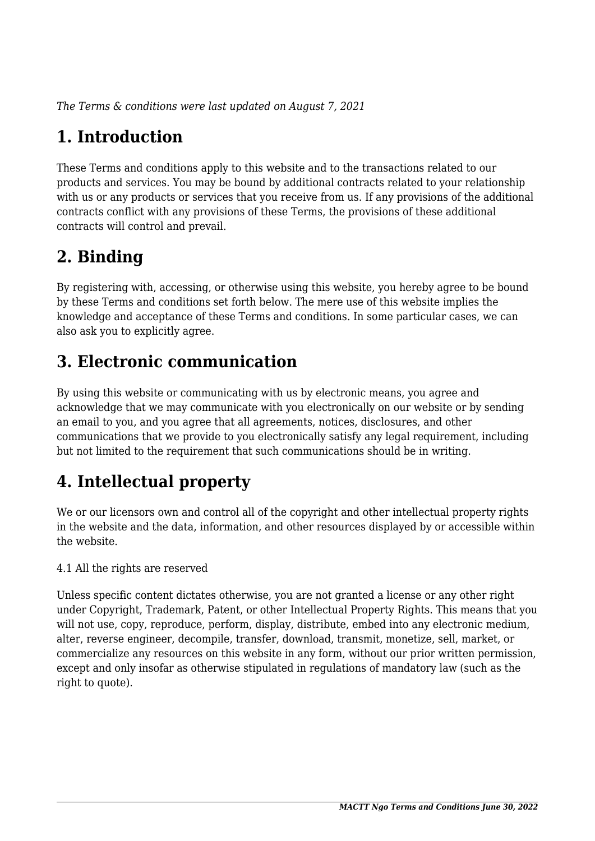*The Terms & conditions were last updated on August 7, 2021*

# **1. Introduction**

These Terms and conditions apply to this website and to the transactions related to our products and services. You may be bound by additional contracts related to your relationship with us or any products or services that you receive from us. If any provisions of the additional contracts conflict with any provisions of these Terms, the provisions of these additional contracts will control and prevail.

## **2. Binding**

By registering with, accessing, or otherwise using this website, you hereby agree to be bound by these Terms and conditions set forth below. The mere use of this website implies the knowledge and acceptance of these Terms and conditions. In some particular cases, we can also ask you to explicitly agree.

# **3. Electronic communication**

By using this website or communicating with us by electronic means, you agree and acknowledge that we may communicate with you electronically on our website or by sending an email to you, and you agree that all agreements, notices, disclosures, and other communications that we provide to you electronically satisfy any legal requirement, including but not limited to the requirement that such communications should be in writing.

# **4. Intellectual property**

We or our licensors own and control all of the copyright and other intellectual property rights in the website and the data, information, and other resources displayed by or accessible within the website.

4.1 All the rights are reserved

Unless specific content dictates otherwise, you are not granted a license or any other right under Copyright, Trademark, Patent, or other Intellectual Property Rights. This means that you will not use, copy, reproduce, perform, display, distribute, embed into any electronic medium, alter, reverse engineer, decompile, transfer, download, transmit, monetize, sell, market, or commercialize any resources on this website in any form, without our prior written permission, except and only insofar as otherwise stipulated in regulations of mandatory law (such as the right to quote).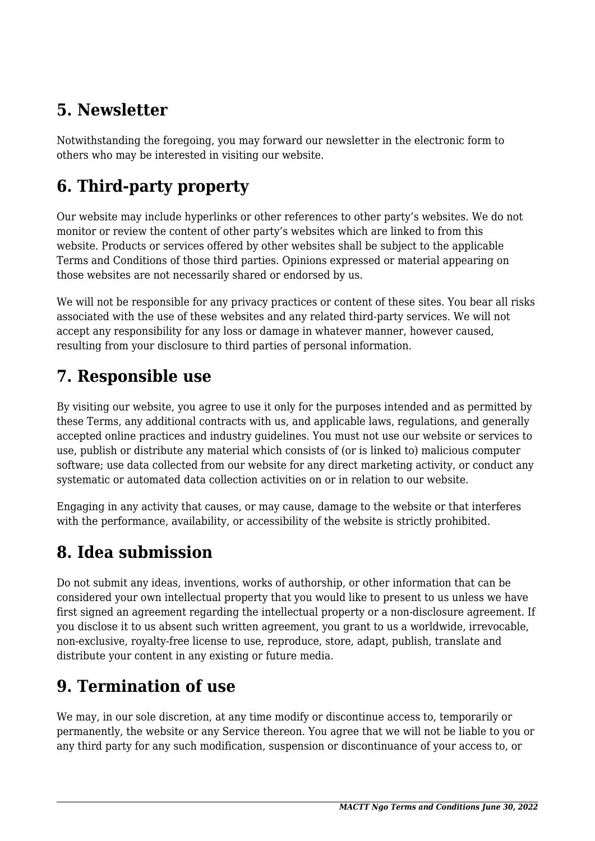## **5. Newsletter**

Notwithstanding the foregoing, you may forward our newsletter in the electronic form to others who may be interested in visiting our website.

# **6. Third-party property**

Our website may include hyperlinks or other references to other party's websites. We do not monitor or review the content of other party's websites which are linked to from this website. Products or services offered by other websites shall be subject to the applicable Terms and Conditions of those third parties. Opinions expressed or material appearing on those websites are not necessarily shared or endorsed by us.

We will not be responsible for any privacy practices or content of these sites. You bear all risks associated with the use of these websites and any related third-party services. We will not accept any responsibility for any loss or damage in whatever manner, however caused, resulting from your disclosure to third parties of personal information.

### **7. Responsible use**

By visiting our website, you agree to use it only for the purposes intended and as permitted by these Terms, any additional contracts with us, and applicable laws, regulations, and generally accepted online practices and industry guidelines. You must not use our website or services to use, publish or distribute any material which consists of (or is linked to) malicious computer software; use data collected from our website for any direct marketing activity, or conduct any systematic or automated data collection activities on or in relation to our website.

Engaging in any activity that causes, or may cause, damage to the website or that interferes with the performance, availability, or accessibility of the website is strictly prohibited.

## **8. Idea submission**

Do not submit any ideas, inventions, works of authorship, or other information that can be considered your own intellectual property that you would like to present to us unless we have first signed an agreement regarding the intellectual property or a non-disclosure agreement. If you disclose it to us absent such written agreement, you grant to us a worldwide, irrevocable, non-exclusive, royalty-free license to use, reproduce, store, adapt, publish, translate and distribute your content in any existing or future media.

## **9. Termination of use**

We may, in our sole discretion, at any time modify or discontinue access to, temporarily or permanently, the website or any Service thereon. You agree that we will not be liable to you or any third party for any such modification, suspension or discontinuance of your access to, or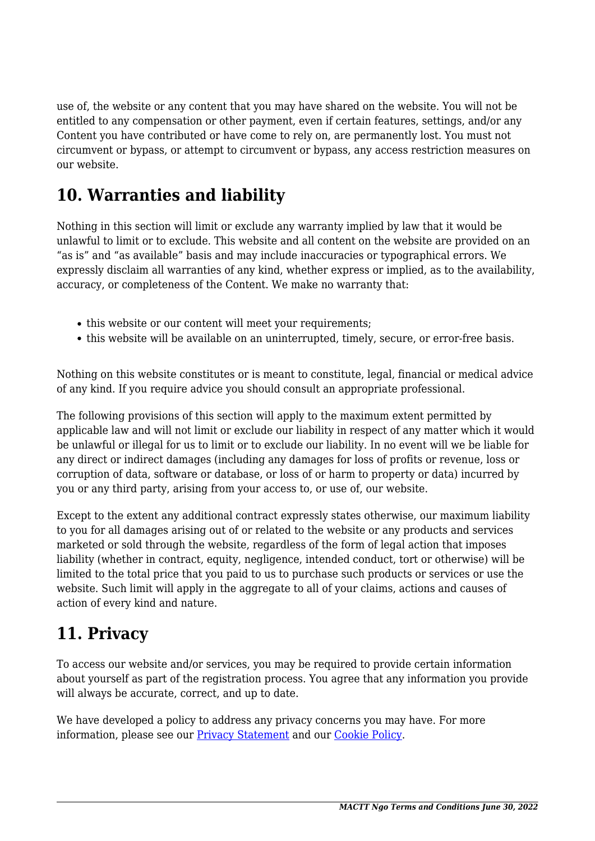use of, the website or any content that you may have shared on the website. You will not be entitled to any compensation or other payment, even if certain features, settings, and/or any Content you have contributed or have come to rely on, are permanently lost. You must not circumvent or bypass, or attempt to circumvent or bypass, any access restriction measures on our website.

### **10. Warranties and liability**

Nothing in this section will limit or exclude any warranty implied by law that it would be unlawful to limit or to exclude. This website and all content on the website are provided on an "as is" and "as available" basis and may include inaccuracies or typographical errors. We expressly disclaim all warranties of any kind, whether express or implied, as to the availability, accuracy, or completeness of the Content. We make no warranty that:

- this website or our content will meet your requirements;
- this website will be available on an uninterrupted, timely, secure, or error-free basis.

Nothing on this website constitutes or is meant to constitute, legal, financial or medical advice of any kind. If you require advice you should consult an appropriate professional.

The following provisions of this section will apply to the maximum extent permitted by applicable law and will not limit or exclude our liability in respect of any matter which it would be unlawful or illegal for us to limit or to exclude our liability. In no event will we be liable for any direct or indirect damages (including any damages for loss of profits or revenue, loss or corruption of data, software or database, or loss of or harm to property or data) incurred by you or any third party, arising from your access to, or use of, our website.

Except to the extent any additional contract expressly states otherwise, our maximum liability to you for all damages arising out of or related to the website or any products and services marketed or sold through the website, regardless of the form of legal action that imposes liability (whether in contract, equity, negligence, intended conduct, tort or otherwise) will be limited to the total price that you paid to us to purchase such products or services or use the website. Such limit will apply in the aggregate to all of your claims, actions and causes of action of every kind and nature.

### **11. Privacy**

To access our website and/or services, you may be required to provide certain information about yourself as part of the registration process. You agree that any information you provide will always be accurate, correct, and up to date.

We have developed a policy to address any privacy concerns you may have. For more information, please see our **Privacy Statement** and our **[Cookie Policy](https://www.mactt.org/cookie-policy-eu/)**.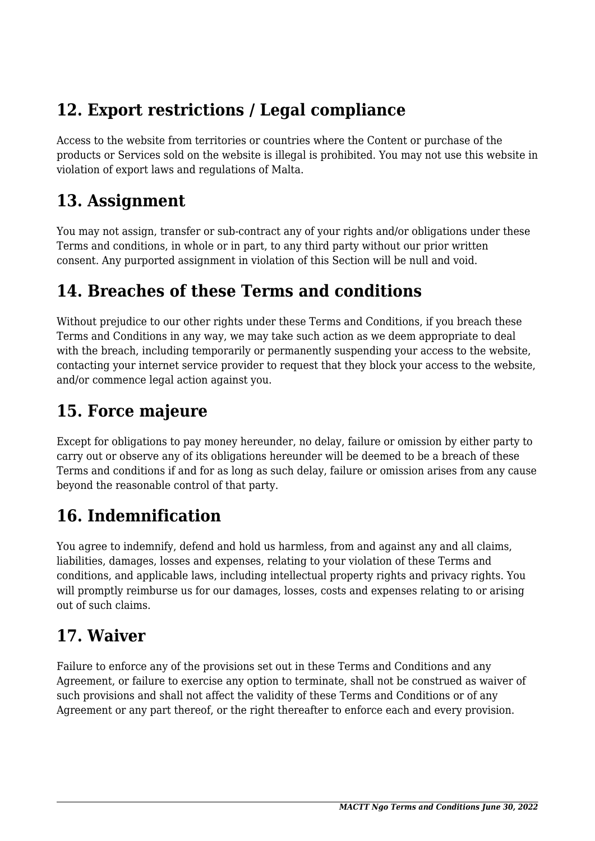### **12. Export restrictions / Legal compliance**

Access to the website from territories or countries where the Content or purchase of the products or Services sold on the website is illegal is prohibited. You may not use this website in violation of export laws and regulations of Malta.

#### **13. Assignment**

You may not assign, transfer or sub-contract any of your rights and/or obligations under these Terms and conditions, in whole or in part, to any third party without our prior written consent. Any purported assignment in violation of this Section will be null and void.

### **14. Breaches of these Terms and conditions**

Without prejudice to our other rights under these Terms and Conditions, if you breach these Terms and Conditions in any way, we may take such action as we deem appropriate to deal with the breach, including temporarily or permanently suspending your access to the website, contacting your internet service provider to request that they block your access to the website, and/or commence legal action against you.

### **15. Force majeure**

Except for obligations to pay money hereunder, no delay, failure or omission by either party to carry out or observe any of its obligations hereunder will be deemed to be a breach of these Terms and conditions if and for as long as such delay, failure or omission arises from any cause beyond the reasonable control of that party.

## **16. Indemnification**

You agree to indemnify, defend and hold us harmless, from and against any and all claims, liabilities, damages, losses and expenses, relating to your violation of these Terms and conditions, and applicable laws, including intellectual property rights and privacy rights. You will promptly reimburse us for our damages, losses, costs and expenses relating to or arising out of such claims.

## **17. Waiver**

Failure to enforce any of the provisions set out in these Terms and Conditions and any Agreement, or failure to exercise any option to terminate, shall not be construed as waiver of such provisions and shall not affect the validity of these Terms and Conditions or of any Agreement or any part thereof, or the right thereafter to enforce each and every provision.